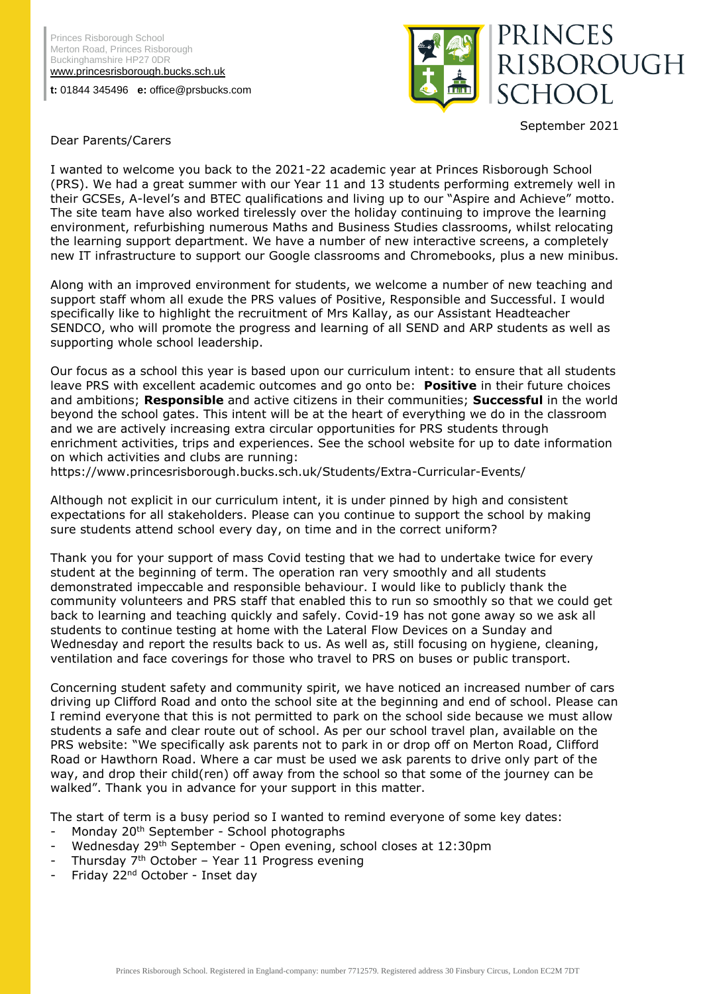Princes Risborough School Merton Road, Princes Risborough Buckinghamshire HP27 0DR

[www.princesrisborough.bucks.sch.uk](http://www.princesrisborough.bucks.sch.uk/)

**t:** 01844 345496 **e:** office@prsbucks.com



## PRINCES RISBOROUGH **SCHOOL**

September 2021

## Dear Parents/Carers

I wanted to welcome you back to the 2021-22 academic year at Princes Risborough School (PRS). We had a great summer with our Year 11 and 13 students performing extremely well in their GCSEs, A-level's and BTEC qualifications and living up to our "Aspire and Achieve" motto. The site team have also worked tirelessly over the holiday continuing to improve the learning environment, refurbishing numerous Maths and Business Studies classrooms, whilst relocating the learning support department. We have a number of new interactive screens, a completely new IT infrastructure to support our Google classrooms and Chromebooks, plus a new minibus.

Along with an improved environment for students, we welcome a number of new teaching and support staff whom all exude the PRS values of Positive, Responsible and Successful. I would specifically like to highlight the recruitment of Mrs Kallay, as our Assistant Headteacher SENDCO, who will promote the progress and learning of all SEND and ARP students as well as supporting whole school leadership.

Our focus as a school this year is based upon our curriculum intent: to ensure that all students leave PRS with excellent academic outcomes and go onto be: **Positive** in their future choices and ambitions; **Responsible** and active citizens in their communities; **Successful** in the world beyond the school gates. This intent will be at the heart of everything we do in the classroom and we are actively increasing extra circular opportunities for PRS students through enrichment activities, trips and experiences. See the school website for up to date information on which activities and clubs are running:

https://www.princesrisborough.bucks.sch.uk/Students/Extra-Curricular-Events/

Although not explicit in our curriculum intent, it is under pinned by high and consistent expectations for all stakeholders. Please can you continue to support the school by making sure students attend school every day, on time and in the correct uniform?

Thank you for your support of mass Covid testing that we had to undertake twice for every student at the beginning of term. The operation ran very smoothly and all students demonstrated impeccable and responsible behaviour. I would like to publicly thank the community volunteers and PRS staff that enabled this to run so smoothly so that we could get back to learning and teaching quickly and safely. Covid-19 has not gone away so we ask all students to continue testing at home with the Lateral Flow Devices on a Sunday and Wednesday and report the results back to us. As well as, still focusing on hygiene, cleaning, ventilation and face coverings for those who travel to PRS on buses or public transport.

Concerning student safety and community spirit, we have noticed an increased number of cars driving up Clifford Road and onto the school site at the beginning and end of school. Please can I remind everyone that this is not permitted to park on the school side because we must allow students a safe and clear route out of school. As per our school travel plan, available on the PRS website: "We specifically ask parents not to park in or drop off on Merton Road, Clifford Road or Hawthorn Road. Where a car must be used we ask parents to drive only part of the way, and drop their child(ren) off away from the school so that some of the journey can be walked". Thank you in advance for your support in this matter.

The start of term is a busy period so I wanted to remind everyone of some key dates:

- Monday 20<sup>th</sup> September School photographs
- Wednesday 29th September Open evening, school closes at 12:30pm
- Thursday  $7<sup>th</sup>$  October Year 11 Progress evening
- Friday 22<sup>nd</sup> October Inset day